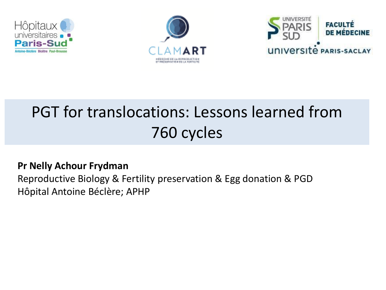





# PGT for translocations: Lessons learned from 760 cycles

#### **Pr Nelly Achour Frydman**

Reproductive Biology & Fertility preservation & Egg donation & PGD Hôpital Antoine Béclère; APHP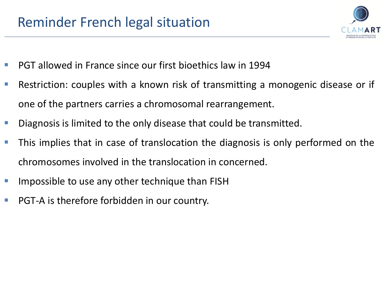

- PGT allowed in France since our first bioethics law in 1994
- Restriction: couples with a known risk of transmitting a monogenic disease or if one of the partners carries a chromosomal rearrangement.
- Diagnosis is limited to the only disease that could be transmitted.
- This implies that in case of translocation the diagnosis is only performed on the chromosomes involved in the translocation in concerned.
- Impossible to use any other technique than FISH
- PGT-A is therefore forbidden in our country.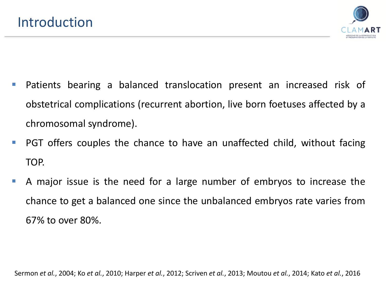

- Patients bearing a balanced translocation present an increased risk of obstetrical complications (recurrent abortion, live born foetuses affected by a chromosomal syndrome).
- PGT offers couples the chance to have an unaffected child, without facing TOP.
- A major issue is the need for a large number of embryos to increase the chance to get a balanced one since the unbalanced embryos rate varies from 67% to over 80%.

Sermon *et al.*, 2004; Ko *et al.*, 2010; Harper *et al.*, 2012; Scriven *et al.*, 2013; Moutou *et al.*, 2014; Kato *et al.*, 2016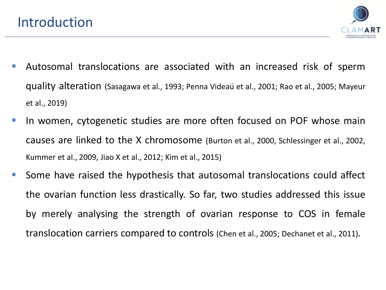

- **E** Autosomal translocations are associated with an increased risk of sperm quality alteration (Sasagawa et al., 1993; Penna Videaú et al., 2001; Rao et al., 2005; Mayeur et al., 2019)
- **In women, cytogenetic studies are more often focused on POF whose main** causes are linked to the X chromosome (Burton et al., 2000, Schlessinger et al., 2002, Kummer et al., 2009, Jiao X et al., 2012; Kim et al., 2015)
- Some have raised the hypothesis that autosomal translocations could affect the ovarian function less drastically. So far, two studies addressed this issue by merely analysing the strength of ovarian response to COS in female translocation carriers compared to controls (Chen et al., 2005; Dechanet et al., 2011).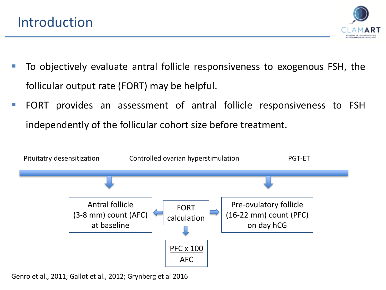

- To objectively evaluate antral follicle responsiveness to exogenous FSH, the follicular output rate (FORT) may be helpful.
- FORT provides an assessment of antral follicle responsiveness to FSH independently of the follicular cohort size before treatment.



Genro et al., 2011; Gallot et al., 2012; Grynberg et al 2016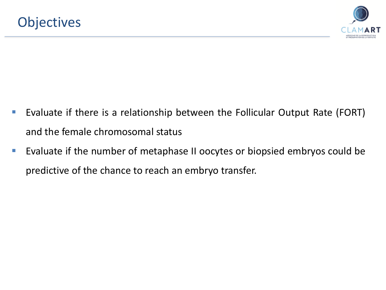

- Evaluate if there is a relationship between the Follicular Output Rate (FORT) and the female chromosomal status
- Evaluate if the number of metaphase II oocytes or biopsied embryos could be predictive of the chance to reach an embryo transfer.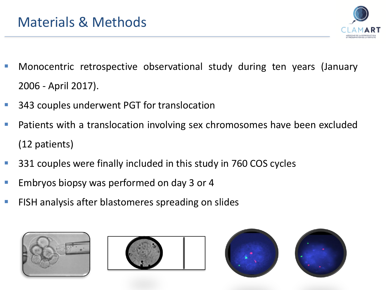

- Monocentric retrospective observational study during ten years (January 2006 - April 2017).
- 343 couples underwent PGT for translocation
- Patients with a translocation involving sex chromosomes have been excluded (12 patients)
- 331 couples were finally included in this study in 760 COS cycles
- Embryos biopsy was performed on day 3 or 4
- FISH analysis after blastomeres spreading on slides





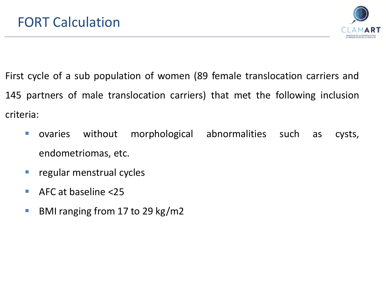

First cycle of a sub population of women (89 female translocation carriers and 145 partners of male translocation carriers) that met the following inclusion criteria:

- ovaries without morphological abnormalities such as cysts, endometriomas, etc.
- regular menstrual cycles
- AFC at baseline <25
- **BMI ranging from 17 to 29 kg/m2**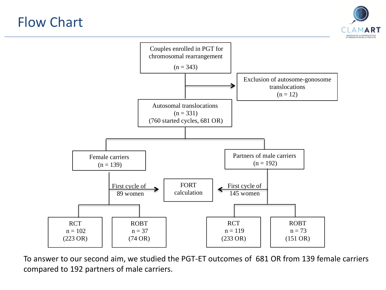# Flow Chart





To answer to our second aim, we studied the PGT-ET outcomes of 681 OR from 139 female carriers compared to 192 partners of male carriers.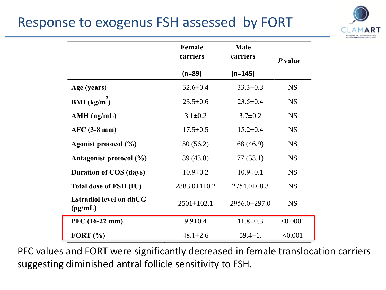# Response to exogenus FSH assessed by FORT



|                                           | Female<br>carriers | <b>Male</b><br>carriers | P value   |
|-------------------------------------------|--------------------|-------------------------|-----------|
|                                           | $(n=89)$           | $(n=145)$               |           |
| Age (years)                               | $32.6 \pm 0.4$     | $33.3 \pm 0.3$          | <b>NS</b> |
| <b>BMI</b> (kg/m <sup>2</sup> )           | $23.5 \pm 0.6$     | $23.5 \pm 0.4$          | <b>NS</b> |
| $AMH$ (ng/mL)                             | $3.1 \pm 0.2$      | $3.7 \pm 0.2$           | <b>NS</b> |
| $AFC$ (3-8 mm)                            | $17.5 \pm 0.5$     | $15.2 \pm 0.4$          | <b>NS</b> |
| Agonist protocol (%)                      | 50(56.2)           | 68 (46.9)               | <b>NS</b> |
| Antagonist protocol (%)                   | 39(43.8)           | 77(53.1)                | <b>NS</b> |
| <b>Duration of COS (days)</b>             | $10.9 \pm 0.2$     | $10.9 \pm 0.1$          | <b>NS</b> |
| <b>Total dose of FSH (IU)</b>             | 2883.0±110.2       | $2754.0 \pm 68.3$       | <b>NS</b> |
| <b>Estradiol level on dhCG</b><br>(pg/mL) | $2501 \pm 102.1$   | 2956.0±297.0            | <b>NS</b> |
| PFC (16-22 mm)                            | $9.9 \pm 0.4$      | $11.8 \pm 0.3$          | < 0.0001  |
| FORT $(\% )$                              | $48.1 \pm 2.6$     | $59.4 \pm 1.$           | < 0.001   |

PFC values and FORT were significantly decreased in female translocation carriers suggesting diminished antral follicle sensitivity to FSH.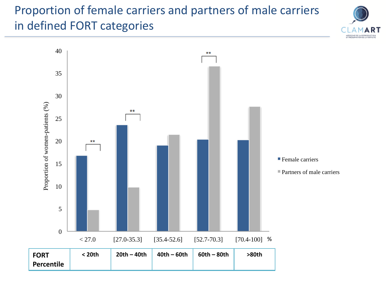#### Proportion of female carriers and partners of male carriers in defined FORT categories



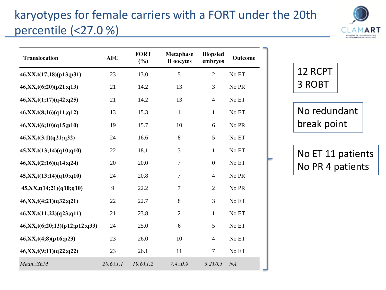# karyotypes for female carriers with a FORT under the 20th percentile (<27.0 %)



| <b>Translocation</b>                 | <b>AFC</b>     | <b>FORT</b><br>$(\%)$ | Metaphase<br>II oocytes | <b>Biopsied</b><br>embryos | <b>Outcome</b> |
|--------------------------------------|----------------|-----------------------|-------------------------|----------------------------|----------------|
| 46, XX, t(17; 18)(p13; p31)          | 23             | 13.0                  | 5                       | $\overline{2}$             | No ET          |
| 46, XX, t(6; 20) (p21; q13)          | 21             | 14.2                  | 13                      | 3                          | No PR          |
| 46, XX, t(1; 17) (q42; q25)          | 21             | 14.2                  | 13                      | $\overline{4}$             | No ET          |
| 46, XX, t(8; 16) (q11; q12)          | 13             | 15.3                  | $\mathbf{1}$            | $\mathbf{1}$               | No ET          |
| 46, XX, t(6; 10) (q15; p10)          | 19             | 15.7                  | 10                      | 6                          | No PR          |
| 46, XX, t(3.1) (q21; q32)            | 24             | 16.6                  | 8                       | 5                          | No ET          |
| 45, XX, t(13; 14) (q10; q10)         | 22             | 18.1                  | 3                       | $\mathbf{1}$               | No ET          |
| 46, XX, t(2; 16) (q14; q24)          | 20             | 20.0                  | $\boldsymbol{7}$        | $\boldsymbol{0}$           | No ET          |
| 45, XX, t(13; 14)(q10; q10)          | 24             | 20.8                  | $\overline{7}$          | $\overline{4}$             | No PR          |
| 45, XX, t(14; 21) (q10; q10)         | 9              | 22.2                  | $\boldsymbol{7}$        | $\overline{2}$             | No PR          |
| 46, XX, t(4; 21) (q32; q21)          | 22             | 22.7                  | 8                       | 3                          | No ET          |
| 46, XX, t(11; 22) (q23; q11)         | 21             | 23.8                  | $\overline{2}$          | $\mathbf{1}$               | No ET          |
| 46, XX, t(6; 20; 13) (p12; p12; q33) | 24             | 25.0                  | 6                       | 5                          | No ET          |
| 46, XX, t(4,8)(p16;p23)              | 23             | 26.0                  | 10                      | $\overline{4}$             | No ET          |
| 46, XX, t(9; 11)(q22; q22)           | 23             | 26.1                  | 11                      | $\boldsymbol{7}$           | No ET          |
| $Mean \pm SEM$                       | $20.6 \pm 1.1$ | $19.6 \pm 1.2$        | $7.4 \pm 0.9$           | $3.2 \pm 0.5$              | NA             |

12 RCPT 3 ROBT

No redundant break point

No ET 11 patients No PR 4 patients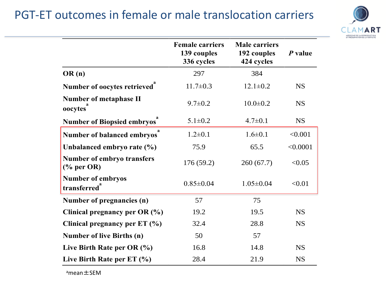#### PGT-ET outcomes in female or male translocation carriers



|                                                      | <b>Female carriers</b><br>139 couples<br>336 cycles | <b>Male carriers</b><br>192 couples<br>424 cycles | P value   |
|------------------------------------------------------|-----------------------------------------------------|---------------------------------------------------|-----------|
| OR(n)                                                | 297                                                 | 384                                               |           |
| Number of oocytes retrieved <sup>"</sup>             | $11.7 \pm 0.3$                                      | $12.1 \pm 0.2$                                    | <b>NS</b> |
| <b>Number of metaphase II</b><br>oocytes             | $9.7 \pm 0.2$                                       | $10.0 \pm 0.2$                                    | <b>NS</b> |
| <b>Number of Biopsied embryos</b>                    | $5.1 \pm 0.2$                                       | $4.7 \pm 0.1$                                     | <b>NS</b> |
| Number of balanced embryos                           | $1.2 \pm 0.1$                                       | $1.6 \pm 0.1$                                     | < 0.001   |
| Unbalanced embryo rate (%)                           | 75.9                                                | 65.5                                              | < 0.0001  |
| <b>Number of embryo transfers</b><br>$%$ per OR)     | 176(59.2)                                           | 260(67.7)                                         | < 0.05    |
| <b>Number of embryos</b><br>transferred <sup>a</sup> | $0.85 \pm 0.04$                                     | $1.05 \pm 0.04$                                   | < 0.01    |
| Number of pregnancies (n)                            | 57                                                  | 75                                                |           |
| Clinical pregnancy per $OR$ (%)                      | 19.2                                                | 19.5                                              | <b>NS</b> |
| Clinical pregnancy per ET (%)                        | 32.4                                                | 28.8                                              | <b>NS</b> |
| <b>Number of live Births (n)</b>                     | 50                                                  | 57                                                |           |
| Live Birth Rate per OR $(\% )$                       | 16.8                                                | 14.8                                              | <b>NS</b> |
| Live Birth Rate per $ET$ (%)                         | 28.4                                                | 21.9                                              | <b>NS</b> |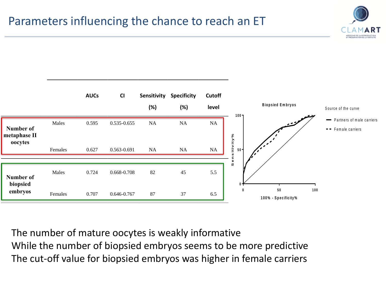



The number of mature oocytes is weakly informative While the number of biopsied embryos seems to be more predictive The cut-off value for biopsied embryos was higher in female carriers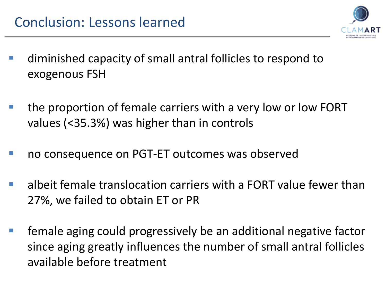

- diminished capacity of small antral follicles to respond to exogenous FSH
- the proportion of female carriers with a very low or low FORT values (<35.3%) was higher than in controls
- no consequence on PGT-ET outcomes was observed
- albeit female translocation carriers with a FORT value fewer than 27%, we failed to obtain ET or PR
- female aging could progressively be an additional negative factor since aging greatly influences the number of small antral follicles available before treatment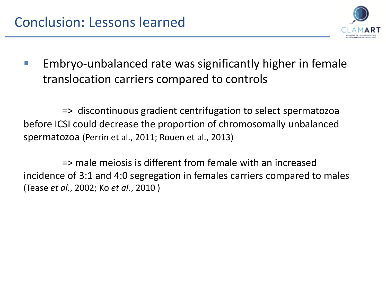

Embryo-unbalanced rate was significantly higher in female translocation carriers compared to controls

=> discontinuous gradient centrifugation to select spermatozoa before ICSI could decrease the proportion of chromosomally unbalanced spermatozoa (Perrin et al., 2011; Rouen et al., 2013)

=> male meiosis is different from female with an increased incidence of 3:1 and 4:0 segregation in females carriers compared to males (Tease *et al.*, 2002; Ko *et al.*, 2010 )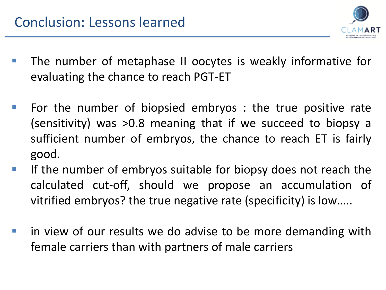

- The number of metaphase II oocytes is weakly informative for evaluating the chance to reach PGT-ET
- For the number of biopsied embryos : the true positive rate (sensitivity) was >0.8 meaning that if we succeed to biopsy a sufficient number of embryos, the chance to reach ET is fairly good.
- **EXT** If the number of embryos suitable for biopsy does not reach the calculated cut-off, should we propose an accumulation of vitrified embryos? the true negative rate (specificity) is low…..
- in view of our results we do advise to be more demanding with female carriers than with partners of male carriers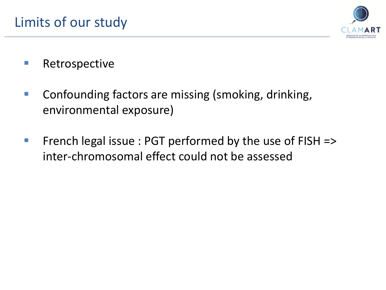

- Retrospective
- Confounding factors are missing (smoking, drinking, environmental exposure)
- French legal issue :  $PGT$  performed by the use of  $FISH$  => inter-chromosomal effect could not be assessed